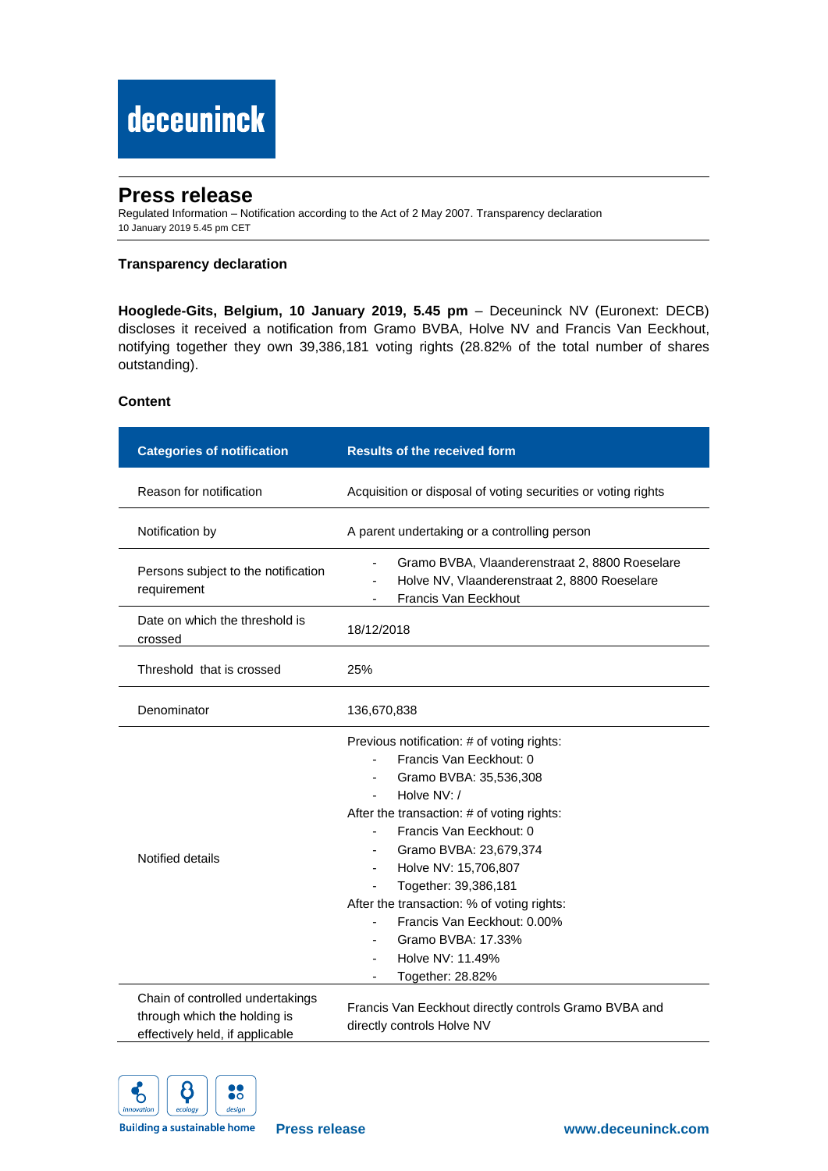# deceuninck

# **Press release**

Regulated Information – Notification according to the Act of 2 May 2007. Transparency declaration 10 January 2019 5.45 pm CET

### **Transparency declaration**

**Hooglede-Gits, Belgium, 10 January 2019, 5.45 pm** – Deceuninck NV (Euronext: DECB) discloses it received a notification from Gramo BVBA, Holve NV and Francis Van Eeckhout, notifying together they own 39,386,181 voting rights (28.82% of the total number of shares outstanding).

## **Content**

| <b>Categories of notification</b>                                                                   | <b>Results of the received form</b>                                                                                                                                                                                                                                                                                                                                                                                                                             |
|-----------------------------------------------------------------------------------------------------|-----------------------------------------------------------------------------------------------------------------------------------------------------------------------------------------------------------------------------------------------------------------------------------------------------------------------------------------------------------------------------------------------------------------------------------------------------------------|
| Reason for notification                                                                             | Acquisition or disposal of voting securities or voting rights                                                                                                                                                                                                                                                                                                                                                                                                   |
| Notification by                                                                                     | A parent undertaking or a controlling person                                                                                                                                                                                                                                                                                                                                                                                                                    |
| Persons subject to the notification<br>requirement                                                  | Gramo BVBA, Vlaanderenstraat 2, 8800 Roeselare<br>$\overline{\phantom{0}}$<br>Holve NV, Vlaanderenstraat 2, 8800 Roeselare<br>Francis Van Eeckhout                                                                                                                                                                                                                                                                                                              |
| Date on which the threshold is<br>crossed                                                           | 18/12/2018                                                                                                                                                                                                                                                                                                                                                                                                                                                      |
| Threshold that is crossed                                                                           | 25%                                                                                                                                                                                                                                                                                                                                                                                                                                                             |
| Denominator                                                                                         | 136,670,838                                                                                                                                                                                                                                                                                                                                                                                                                                                     |
| Notified details                                                                                    | Previous notification: # of voting rights:<br>Francis Van Eeckhout: 0<br>Gramo BVBA: 35,536,308<br>Holve NV: /<br>After the transaction: # of voting rights:<br>Francis Van Eeckhout: 0<br>Gramo BVBA: 23,679,374<br>$\overline{\phantom{a}}$<br>Holve NV: 15,706,807<br>$\blacksquare$<br>Together: 39,386,181<br>After the transaction: % of voting rights:<br>Francis Van Eeckhout: 0.00%<br>Gramo BVBA: 17.33%<br>Holve NV: 11.49%<br>٠<br>Together: 28.82% |
| Chain of controlled undertakings<br>through which the holding is<br>effectively held, if applicable | Francis Van Eeckhout directly controls Gramo BVBA and<br>directly controls Holve NV                                                                                                                                                                                                                                                                                                                                                                             |



**Building a sustainable home**